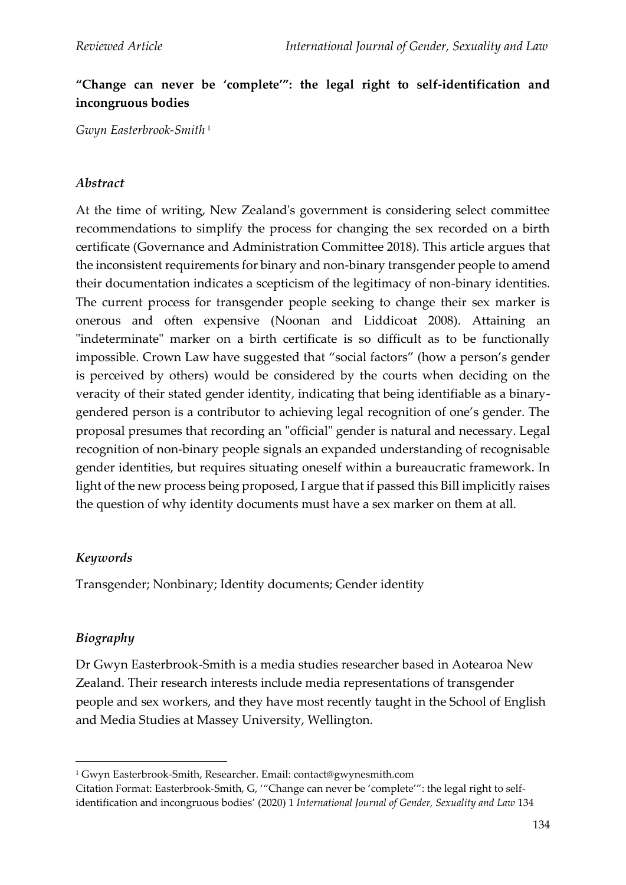# **"Change can never be 'complete'": the legal right to self-identification and incongruous bodies**

*Gwyn Easterbrook-Smith* <sup>1</sup>

### *Abstract*

At the time of writing, New Zealand's government is considering select committee recommendations to simplify the process for changing the sex recorded on a birth certificate (Governance and Administration Committee 2018). This article argues that the inconsistent requirements for binary and non-binary transgender people to amend their documentation indicates a scepticism of the legitimacy of non-binary identities. The current process for transgender people seeking to change their sex marker is onerous and often expensive (Noonan and Liddicoat 2008). Attaining an "indeterminate" marker on a birth certificate is so difficult as to be functionally impossible. Crown Law have suggested that "social factors" (how a person's gender is perceived by others) would be considered by the courts when deciding on the veracity of their stated gender identity, indicating that being identifiable as a binarygendered person is a contributor to achieving legal recognition of one's gender. The proposal presumes that recording an "official" gender is natural and necessary. Legal recognition of non-binary people signals an expanded understanding of recognisable gender identities, but requires situating oneself within a bureaucratic framework. In light of the new process being proposed, I argue that if passed this Bill implicitly raises the question of why identity documents must have a sex marker on them at all.

### *Keywords*

Transgender; Nonbinary; Identity documents; Gender identity

### *Biography*

Dr Gwyn Easterbrook-Smith is a media studies researcher based in Aotearoa New Zealand. Their research interests include media representations of transgender people and sex workers, and they have most recently taught in the School of English and Media Studies at Massey University, Wellington.

<sup>1</sup> Gwyn Easterbrook-Smith, Researcher. Email: contact@gwynesmith.com

Citation Format: Easterbrook-Smith, G, '"Change can never be 'complete'": the legal right to selfidentification and incongruous bodies' (2020) 1 *International Journal of Gender, Sexuality and Law* 134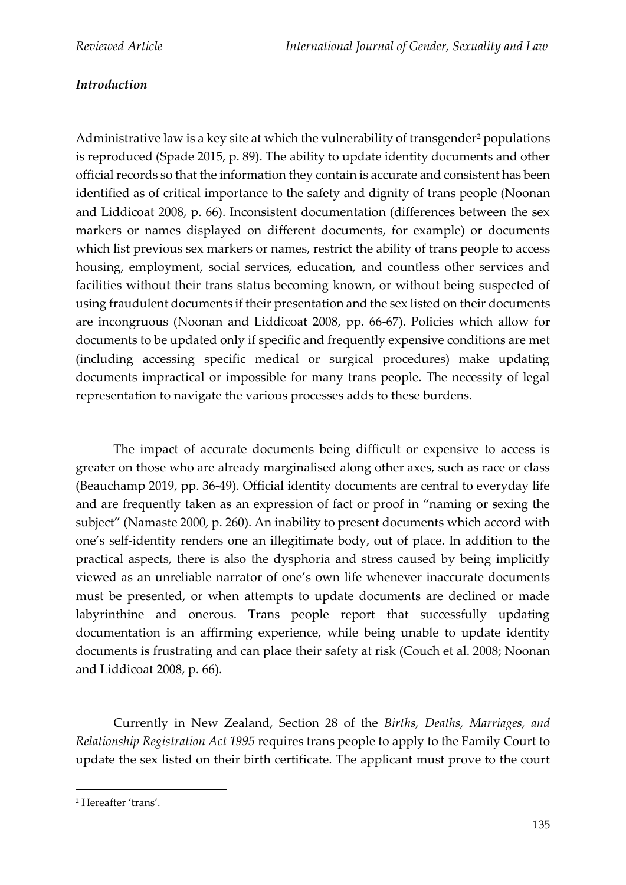# *Introduction*

Administrative law is a key site at which the vulnerability of transgender<sup>2</sup> populations is reproduced (Spade 2015, p. 89). The ability to update identity documents and other official records so that the information they contain is accurate and consistent has been identified as of critical importance to the safety and dignity of trans people (Noonan and Liddicoat 2008, p. 66). Inconsistent documentation (differences between the sex markers or names displayed on different documents, for example) or documents which list previous sex markers or names, restrict the ability of trans people to access housing, employment, social services, education, and countless other services and facilities without their trans status becoming known, or without being suspected of using fraudulent documents if their presentation and the sex listed on their documents are incongruous (Noonan and Liddicoat 2008, pp. 66-67). Policies which allow for documents to be updated only if specific and frequently expensive conditions are met (including accessing specific medical or surgical procedures) make updating documents impractical or impossible for many trans people. The necessity of legal representation to navigate the various processes adds to these burdens.

The impact of accurate documents being difficult or expensive to access is greater on those who are already marginalised along other axes, such as race or class (Beauchamp 2019, pp. 36-49). Official identity documents are central to everyday life and are frequently taken as an expression of fact or proof in "naming or sexing the subject" (Namaste 2000, p. 260). An inability to present documents which accord with one's self-identity renders one an illegitimate body, out of place. In addition to the practical aspects, there is also the dysphoria and stress caused by being implicitly viewed as an unreliable narrator of one's own life whenever inaccurate documents must be presented, or when attempts to update documents are declined or made labyrinthine and onerous. Trans people report that successfully updating documentation is an affirming experience, while being unable to update identity documents is frustrating and can place their safety at risk (Couch et al. 2008; Noonan and Liddicoat 2008, p. 66).

Currently in New Zealand, Section 28 of the *Births, Deaths, Marriages, and Relationship Registration Act 1995* requires trans people to apply to the Family Court to update the sex listed on their birth certificate. The applicant must prove to the court

<sup>2</sup> Hereafter 'trans'.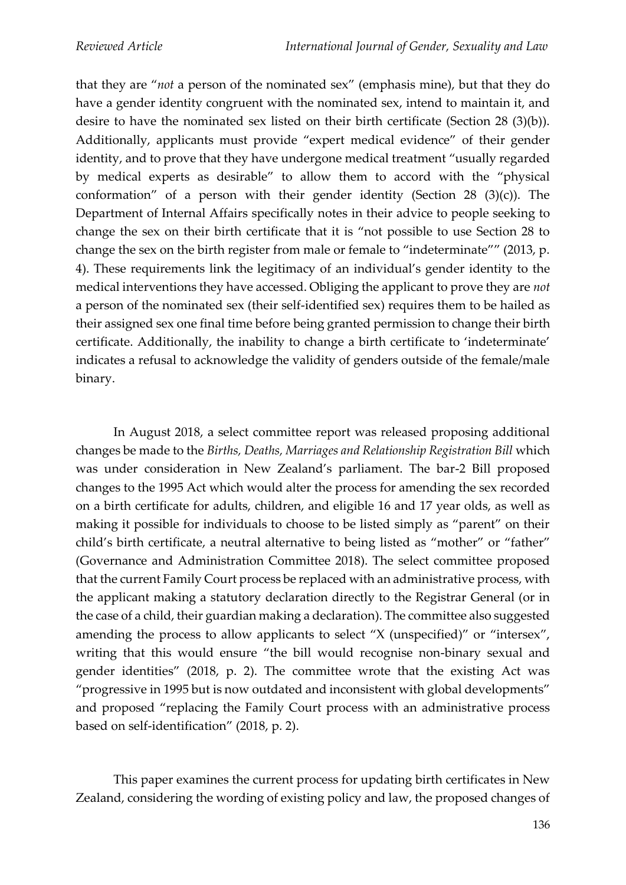that they are "*not* a person of the nominated sex" (emphasis mine), but that they do have a gender identity congruent with the nominated sex, intend to maintain it, and desire to have the nominated sex listed on their birth certificate (Section 28 (3)(b)). Additionally, applicants must provide "expert medical evidence" of their gender identity, and to prove that they have undergone medical treatment "usually regarded by medical experts as desirable" to allow them to accord with the "physical conformation" of a person with their gender identity (Section  $28$  (3)(c)). The Department of Internal Affairs specifically notes in their advice to people seeking to change the sex on their birth certificate that it is "not possible to use Section 28 to change the sex on the birth register from male or female to "indeterminate"" (2013, p. 4). These requirements link the legitimacy of an individual's gender identity to the medical interventions they have accessed. Obliging the applicant to prove they are *not* a person of the nominated sex (their self-identified sex) requires them to be hailed as their assigned sex one final time before being granted permission to change their birth certificate. Additionally, the inability to change a birth certificate to 'indeterminate' indicates a refusal to acknowledge the validity of genders outside of the female/male binary.

In August 2018, a select committee report was released proposing additional changes be made to the *Births, Deaths, Marriages and Relationship Registration Bill* which was under consideration in New Zealand's parliament. The bar-2 Bill proposed changes to the 1995 Act which would alter the process for amending the sex recorded on a birth certificate for adults, children, and eligible 16 and 17 year olds, as well as making it possible for individuals to choose to be listed simply as "parent" on their child's birth certificate, a neutral alternative to being listed as "mother" or "father" (Governance and Administration Committee 2018). The select committee proposed that the current Family Court process be replaced with an administrative process, with the applicant making a statutory declaration directly to the Registrar General (or in the case of a child, their guardian making a declaration). The committee also suggested amending the process to allow applicants to select "X (unspecified)" or "intersex", writing that this would ensure "the bill would recognise non-binary sexual and gender identities" (2018, p. 2). The committee wrote that the existing Act was "progressive in 1995 but is now outdated and inconsistent with global developments" and proposed "replacing the Family Court process with an administrative process based on self-identification" (2018, p. 2).

This paper examines the current process for updating birth certificates in New Zealand, considering the wording of existing policy and law, the proposed changes of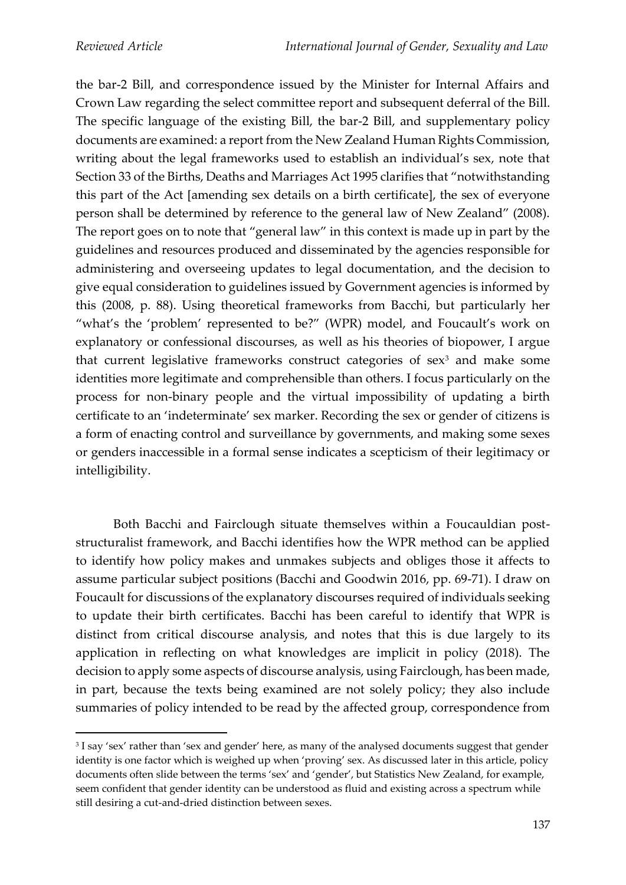the bar-2 Bill, and correspondence issued by the Minister for Internal Affairs and Crown Law regarding the select committee report and subsequent deferral of the Bill. The specific language of the existing Bill, the bar-2 Bill, and supplementary policy documents are examined: a report from the New Zealand Human Rights Commission, writing about the legal frameworks used to establish an individual's sex, note that Section 33 of the Births, Deaths and Marriages Act 1995 clarifies that "notwithstanding this part of the Act [amending sex details on a birth certificate], the sex of everyone person shall be determined by reference to the general law of New Zealand" (2008). The report goes on to note that "general law" in this context is made up in part by the guidelines and resources produced and disseminated by the agencies responsible for administering and overseeing updates to legal documentation, and the decision to give equal consideration to guidelines issued by Government agencies is informed by this (2008, p. 88). Using theoretical frameworks from Bacchi, but particularly her "what's the 'problem' represented to be?" (WPR) model, and Foucault's work on explanatory or confessional discourses, as well as his theories of biopower, I argue that current legislative frameworks construct categories of sex<sup>3</sup> and make some identities more legitimate and comprehensible than others. I focus particularly on the process for non-binary people and the virtual impossibility of updating a birth certificate to an 'indeterminate' sex marker. Recording the sex or gender of citizens is a form of enacting control and surveillance by governments, and making some sexes or genders inaccessible in a formal sense indicates a scepticism of their legitimacy or intelligibility.

Both Bacchi and Fairclough situate themselves within a Foucauldian poststructuralist framework, and Bacchi identifies how the WPR method can be applied to identify how policy makes and unmakes subjects and obliges those it affects to assume particular subject positions (Bacchi and Goodwin 2016, pp. 69-71). I draw on Foucault for discussions of the explanatory discourses required of individuals seeking to update their birth certificates. Bacchi has been careful to identify that WPR is distinct from critical discourse analysis, and notes that this is due largely to its application in reflecting on what knowledges are implicit in policy (2018). The decision to apply some aspects of discourse analysis, using Fairclough, has been made, in part, because the texts being examined are not solely policy; they also include summaries of policy intended to be read by the affected group, correspondence from

<sup>3</sup> I say 'sex' rather than 'sex and gender' here, as many of the analysed documents suggest that gender identity is one factor which is weighed up when 'proving' sex. As discussed later in this article, policy documents often slide between the terms 'sex' and 'gender', but Statistics New Zealand, for example, seem confident that gender identity can be understood as fluid and existing across a spectrum while still desiring a cut-and-dried distinction between sexes.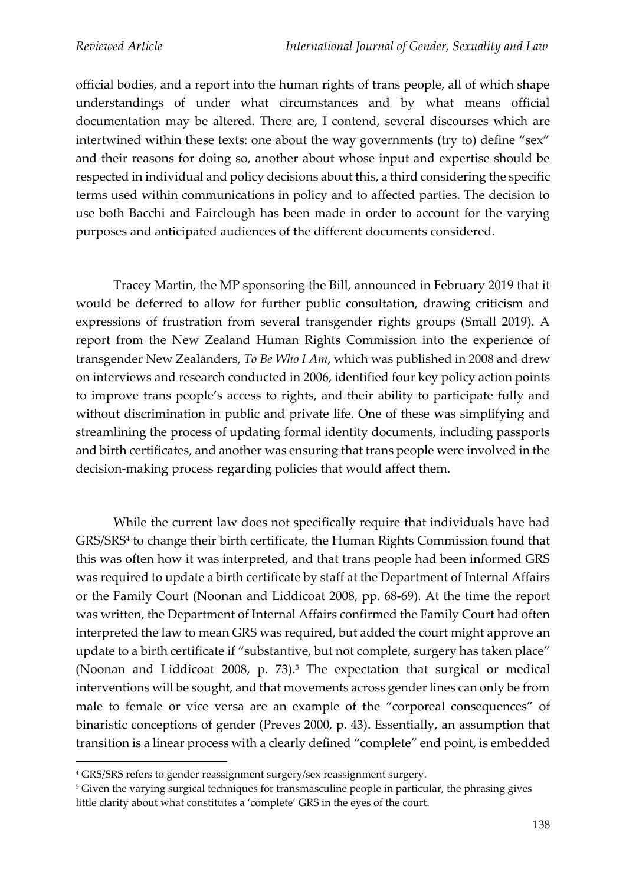official bodies, and a report into the human rights of trans people, all of which shape understandings of under what circumstances and by what means official documentation may be altered. There are, I contend, several discourses which are intertwined within these texts: one about the way governments (try to) define "sex" and their reasons for doing so, another about whose input and expertise should be respected in individual and policy decisions about this, a third considering the specific terms used within communications in policy and to affected parties. The decision to use both Bacchi and Fairclough has been made in order to account for the varying purposes and anticipated audiences of the different documents considered.

Tracey Martin, the MP sponsoring the Bill, announced in February 2019 that it would be deferred to allow for further public consultation, drawing criticism and expressions of frustration from several transgender rights groups (Small 2019). A report from the New Zealand Human Rights Commission into the experience of transgender New Zealanders, *To Be Who I Am*, which was published in 2008 and drew on interviews and research conducted in 2006, identified four key policy action points to improve trans people's access to rights, and their ability to participate fully and without discrimination in public and private life. One of these was simplifying and streamlining the process of updating formal identity documents, including passports and birth certificates, and another was ensuring that trans people were involved in the decision-making process regarding policies that would affect them.

While the current law does not specifically require that individuals have had GRS/SRS<sup>4</sup> to change their birth certificate, the Human Rights Commission found that this was often how it was interpreted, and that trans people had been informed GRS was required to update a birth certificate by staff at the Department of Internal Affairs or the Family Court (Noonan and Liddicoat 2008, pp. 68-69). At the time the report was written, the Department of Internal Affairs confirmed the Family Court had often interpreted the law to mean GRS was required, but added the court might approve an update to a birth certificate if "substantive, but not complete, surgery has taken place" (Noonan and Liddicoat 2008, p.  $73$ ).<sup>5</sup> The expectation that surgical or medical interventions will be sought, and that movements across gender lines can only be from male to female or vice versa are an example of the "corporeal consequences" of binaristic conceptions of gender (Preves 2000, p. 43). Essentially, an assumption that transition is a linear process with a clearly defined "complete" end point, is embedded

<sup>4</sup> GRS/SRS refers to gender reassignment surgery/sex reassignment surgery.

<sup>&</sup>lt;sup>5</sup> Given the varying surgical techniques for transmasculine people in particular, the phrasing gives little clarity about what constitutes a 'complete' GRS in the eyes of the court.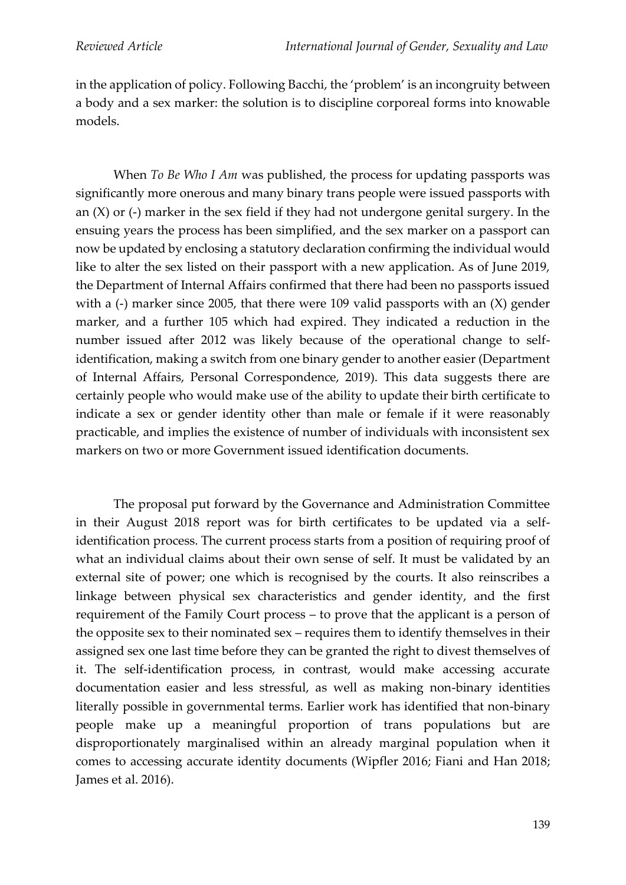in the application of policy. Following Bacchi, the 'problem' is an incongruity between a body and a sex marker: the solution is to discipline corporeal forms into knowable models.

When *To Be Who I Am* was published, the process for updating passports was significantly more onerous and many binary trans people were issued passports with an (X) or (-) marker in the sex field if they had not undergone genital surgery. In the ensuing years the process has been simplified, and the sex marker on a passport can now be updated by enclosing a statutory declaration confirming the individual would like to alter the sex listed on their passport with a new application. As of June 2019, the Department of Internal Affairs confirmed that there had been no passports issued with a (-) marker since 2005, that there were 109 valid passports with an  $(X)$  gender marker, and a further 105 which had expired. They indicated a reduction in the number issued after 2012 was likely because of the operational change to selfidentification, making a switch from one binary gender to another easier (Department of Internal Affairs, Personal Correspondence, 2019). This data suggests there are certainly people who would make use of the ability to update their birth certificate to indicate a sex or gender identity other than male or female if it were reasonably practicable, and implies the existence of number of individuals with inconsistent sex markers on two or more Government issued identification documents.

The proposal put forward by the Governance and Administration Committee in their August 2018 report was for birth certificates to be updated via a selfidentification process. The current process starts from a position of requiring proof of what an individual claims about their own sense of self. It must be validated by an external site of power; one which is recognised by the courts. It also reinscribes a linkage between physical sex characteristics and gender identity, and the first requirement of the Family Court process – to prove that the applicant is a person of the opposite sex to their nominated sex – requires them to identify themselves in their assigned sex one last time before they can be granted the right to divest themselves of it. The self-identification process, in contrast, would make accessing accurate documentation easier and less stressful, as well as making non-binary identities literally possible in governmental terms. Earlier work has identified that non-binary people make up a meaningful proportion of trans populations but are disproportionately marginalised within an already marginal population when it comes to accessing accurate identity documents (Wipfler 2016; Fiani and Han 2018; James et al. 2016).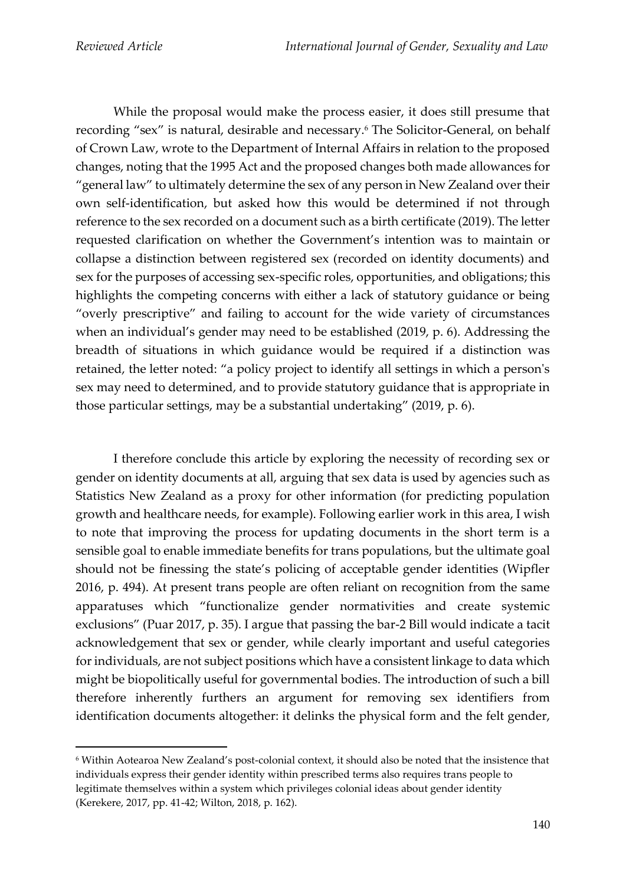While the proposal would make the process easier, it does still presume that recording "sex" is natural, desirable and necessary.<sup>6</sup> The Solicitor-General, on behalf of Crown Law, wrote to the Department of Internal Affairs in relation to the proposed changes, noting that the 1995 Act and the proposed changes both made allowances for "general law" to ultimately determine the sex of any person in New Zealand over their own self-identification, but asked how this would be determined if not through reference to the sex recorded on a document such as a birth certificate (2019). The letter requested clarification on whether the Government's intention was to maintain or collapse a distinction between registered sex (recorded on identity documents) and sex for the purposes of accessing sex-specific roles, opportunities, and obligations; this highlights the competing concerns with either a lack of statutory guidance or being "overly prescriptive" and failing to account for the wide variety of circumstances when an individual's gender may need to be established (2019, p. 6). Addressing the breadth of situations in which guidance would be required if a distinction was retained, the letter noted: "a policy project to identify all settings in which a person's sex may need to determined, and to provide statutory guidance that is appropriate in those particular settings, may be a substantial undertaking" (2019, p. 6).

I therefore conclude this article by exploring the necessity of recording sex or gender on identity documents at all, arguing that sex data is used by agencies such as Statistics New Zealand as a proxy for other information (for predicting population growth and healthcare needs, for example). Following earlier work in this area, I wish to note that improving the process for updating documents in the short term is a sensible goal to enable immediate benefits for trans populations, but the ultimate goal should not be finessing the state's policing of acceptable gender identities (Wipfler 2016, p. 494). At present trans people are often reliant on recognition from the same apparatuses which "functionalize gender normativities and create systemic exclusions" (Puar 2017, p. 35). I argue that passing the bar-2 Bill would indicate a tacit acknowledgement that sex or gender, while clearly important and useful categories for individuals, are not subject positions which have a consistent linkage to data which might be biopolitically useful for governmental bodies. The introduction of such a bill therefore inherently furthers an argument for removing sex identifiers from identification documents altogether: it delinks the physical form and the felt gender,

<sup>6</sup> Within Aotearoa New Zealand's post-colonial context, it should also be noted that the insistence that individuals express their gender identity within prescribed terms also requires trans people to legitimate themselves within a system which privileges colonial ideas about gender identity (Kerekere, 2017, pp. 41-42; Wilton, 2018, p. 162).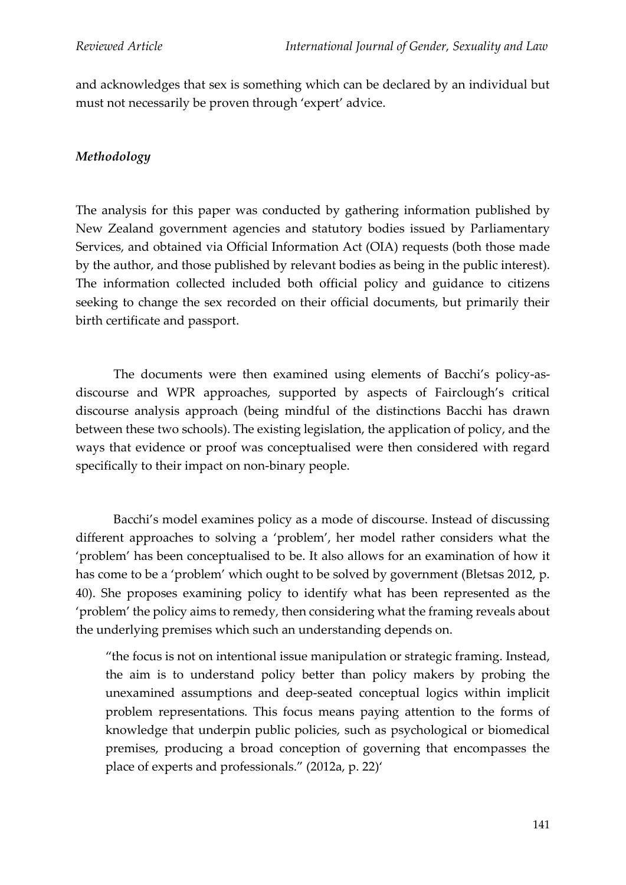and acknowledges that sex is something which can be declared by an individual but must not necessarily be proven through 'expert' advice.

# *Methodology*

The analysis for this paper was conducted by gathering information published by New Zealand government agencies and statutory bodies issued by Parliamentary Services, and obtained via Official Information Act (OIA) requests (both those made by the author, and those published by relevant bodies as being in the public interest). The information collected included both official policy and guidance to citizens seeking to change the sex recorded on their official documents, but primarily their birth certificate and passport.

The documents were then examined using elements of Bacchi's policy-asdiscourse and WPR approaches, supported by aspects of Fairclough's critical discourse analysis approach (being mindful of the distinctions Bacchi has drawn between these two schools). The existing legislation, the application of policy, and the ways that evidence or proof was conceptualised were then considered with regard specifically to their impact on non-binary people.

Bacchi's model examines policy as a mode of discourse. Instead of discussing different approaches to solving a 'problem', her model rather considers what the 'problem' has been conceptualised to be. It also allows for an examination of how it has come to be a 'problem' which ought to be solved by government (Bletsas 2012, p. 40). She proposes examining policy to identify what has been represented as the 'problem' the policy aims to remedy, then considering what the framing reveals about the underlying premises which such an understanding depends on.

"the focus is not on intentional issue manipulation or strategic framing. Instead, the aim is to understand policy better than policy makers by probing the unexamined assumptions and deep-seated conceptual logics within implicit problem representations. This focus means paying attention to the forms of knowledge that underpin public policies, such as psychological or biomedical premises, producing a broad conception of governing that encompasses the place of experts and professionals." (2012a, p. 22)'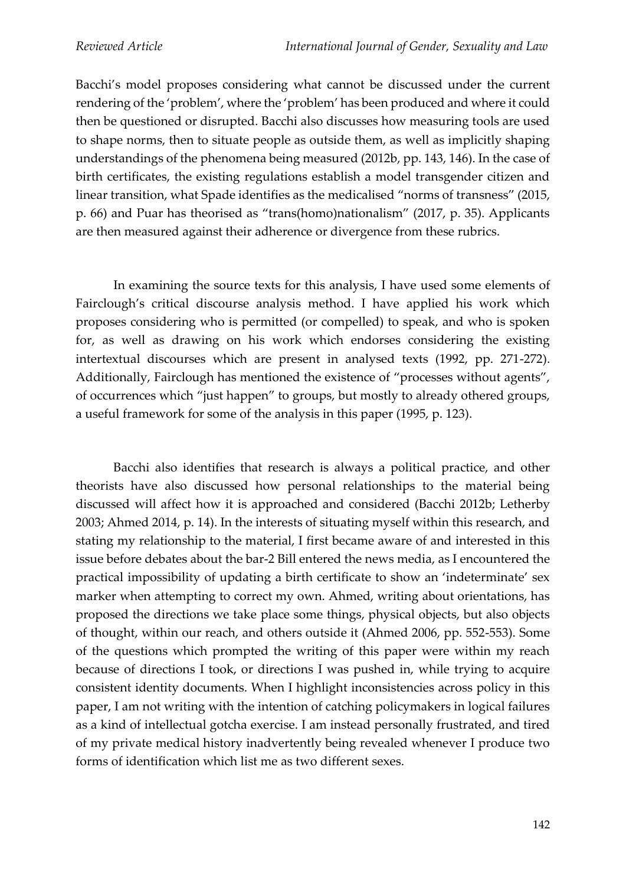Bacchi's model proposes considering what cannot be discussed under the current rendering of the 'problem', where the 'problem' has been produced and where it could then be questioned or disrupted. Bacchi also discusses how measuring tools are used to shape norms, then to situate people as outside them, as well as implicitly shaping understandings of the phenomena being measured (2012b, pp. 143, 146). In the case of birth certificates, the existing regulations establish a model transgender citizen and linear transition, what Spade identifies as the medicalised "norms of transness" (2015, p. 66) and Puar has theorised as "trans(homo)nationalism" (2017, p. 35). Applicants are then measured against their adherence or divergence from these rubrics.

In examining the source texts for this analysis, I have used some elements of Fairclough's critical discourse analysis method. I have applied his work which proposes considering who is permitted (or compelled) to speak, and who is spoken for, as well as drawing on his work which endorses considering the existing intertextual discourses which are present in analysed texts (1992, pp. 271-272). Additionally, Fairclough has mentioned the existence of "processes without agents", of occurrences which "just happen" to groups, but mostly to already othered groups, a useful framework for some of the analysis in this paper (1995, p. 123).

Bacchi also identifies that research is always a political practice, and other theorists have also discussed how personal relationships to the material being discussed will affect how it is approached and considered (Bacchi 2012b; Letherby 2003; Ahmed 2014, p. 14). In the interests of situating myself within this research, and stating my relationship to the material, I first became aware of and interested in this issue before debates about the bar-2 Bill entered the news media, as I encountered the practical impossibility of updating a birth certificate to show an 'indeterminate' sex marker when attempting to correct my own. Ahmed, writing about orientations, has proposed the directions we take place some things, physical objects, but also objects of thought, within our reach, and others outside it (Ahmed 2006, pp. 552-553). Some of the questions which prompted the writing of this paper were within my reach because of directions I took, or directions I was pushed in, while trying to acquire consistent identity documents. When I highlight inconsistencies across policy in this paper, I am not writing with the intention of catching policymakers in logical failures as a kind of intellectual gotcha exercise. I am instead personally frustrated, and tired of my private medical history inadvertently being revealed whenever I produce two forms of identification which list me as two different sexes.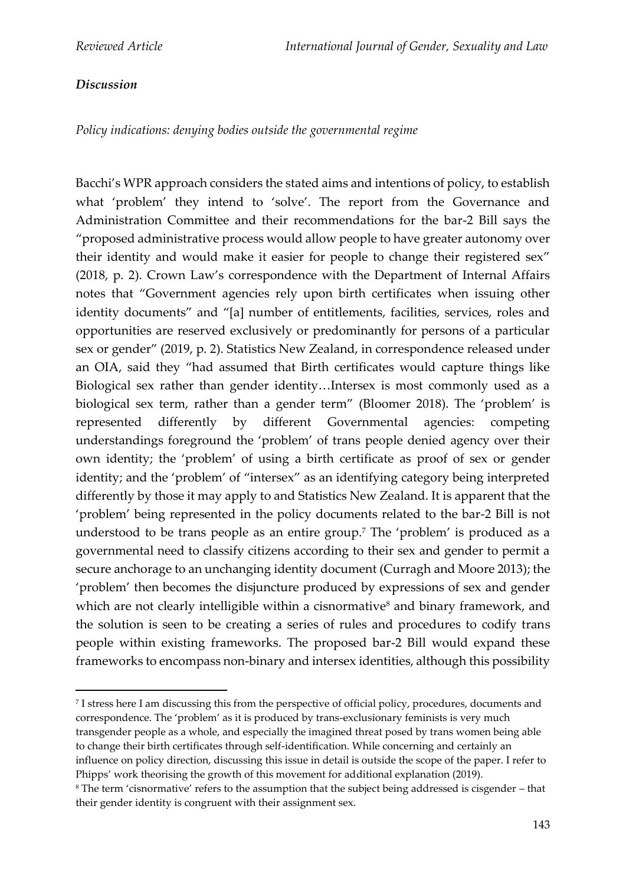#### *Discussion*

*Policy indications: denying bodies outside the governmental regime* 

Bacchi's WPR approach considers the stated aims and intentions of policy, to establish what 'problem' they intend to 'solve'. The report from the Governance and Administration Committee and their recommendations for the bar-2 Bill says the "proposed administrative process would allow people to have greater autonomy over their identity and would make it easier for people to change their registered sex" (2018, p. 2). Crown Law's correspondence with the Department of Internal Affairs notes that "Government agencies rely upon birth certificates when issuing other identity documents" and "[a] number of entitlements, facilities, services, roles and opportunities are reserved exclusively or predominantly for persons of a particular sex or gender" (2019, p. 2). Statistics New Zealand, in correspondence released under an OIA, said they "had assumed that Birth certificates would capture things like Biological sex rather than gender identity…Intersex is most commonly used as a biological sex term, rather than a gender term" (Bloomer 2018). The 'problem' is represented differently by different Governmental agencies: competing understandings foreground the 'problem' of trans people denied agency over their own identity; the 'problem' of using a birth certificate as proof of sex or gender identity; and the 'problem' of "intersex" as an identifying category being interpreted differently by those it may apply to and Statistics New Zealand. It is apparent that the 'problem' being represented in the policy documents related to the bar-2 Bill is not understood to be trans people as an entire group.<sup>7</sup> The 'problem' is produced as a governmental need to classify citizens according to their sex and gender to permit a secure anchorage to an unchanging identity document (Curragh and Moore 2013); the 'problem' then becomes the disjuncture produced by expressions of sex and gender which are not clearly intelligible within a cisnormative<sup>8</sup> and binary framework, and the solution is seen to be creating a series of rules and procedures to codify trans people within existing frameworks. The proposed bar-2 Bill would expand these frameworks to encompass non-binary and intersex identities, although this possibility

7 I stress here I am discussing this from the perspective of official policy, procedures, documents and correspondence. The 'problem' as it is produced by trans-exclusionary feminists is very much transgender people as a whole, and especially the imagined threat posed by trans women being able to change their birth certificates through self-identification. While concerning and certainly an influence on policy direction, discussing this issue in detail is outside the scope of the paper. I refer to Phipps' work theorising the growth of this movement for additional explanation (2019).

<sup>8</sup> The term 'cisnormative' refers to the assumption that the subject being addressed is cisgender – that their gender identity is congruent with their assignment sex.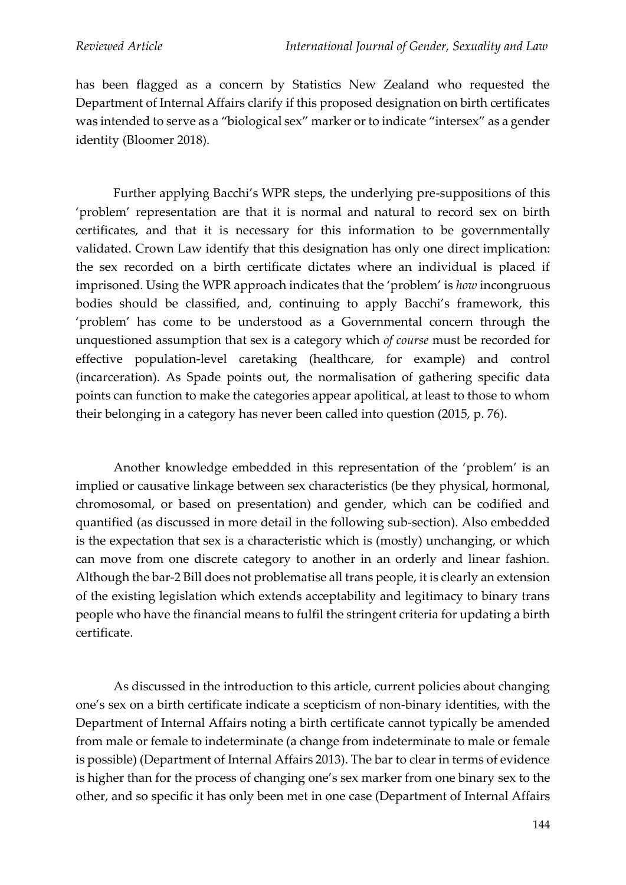has been flagged as a concern by Statistics New Zealand who requested the Department of Internal Affairs clarify if this proposed designation on birth certificates was intended to serve as a "biological sex" marker or to indicate "intersex" as a gender identity (Bloomer 2018).

Further applying Bacchi's WPR steps, the underlying pre-suppositions of this 'problem' representation are that it is normal and natural to record sex on birth certificates, and that it is necessary for this information to be governmentally validated. Crown Law identify that this designation has only one direct implication: the sex recorded on a birth certificate dictates where an individual is placed if imprisoned. Using the WPR approach indicates that the 'problem' is *how* incongruous bodies should be classified, and, continuing to apply Bacchi's framework, this 'problem' has come to be understood as a Governmental concern through the unquestioned assumption that sex is a category which *of course* must be recorded for effective population-level caretaking (healthcare, for example) and control (incarceration). As Spade points out, the normalisation of gathering specific data points can function to make the categories appear apolitical, at least to those to whom their belonging in a category has never been called into question (2015, p. 76).

Another knowledge embedded in this representation of the 'problem' is an implied or causative linkage between sex characteristics (be they physical, hormonal, chromosomal, or based on presentation) and gender, which can be codified and quantified (as discussed in more detail in the following sub-section). Also embedded is the expectation that sex is a characteristic which is (mostly) unchanging, or which can move from one discrete category to another in an orderly and linear fashion. Although the bar-2 Bill does not problematise all trans people, it is clearly an extension of the existing legislation which extends acceptability and legitimacy to binary trans people who have the financial means to fulfil the stringent criteria for updating a birth certificate.

As discussed in the introduction to this article, current policies about changing one's sex on a birth certificate indicate a scepticism of non-binary identities, with the Department of Internal Affairs noting a birth certificate cannot typically be amended from male or female to indeterminate (a change from indeterminate to male or female is possible) (Department of Internal Affairs 2013). The bar to clear in terms of evidence is higher than for the process of changing one's sex marker from one binary sex to the other, and so specific it has only been met in one case (Department of Internal Affairs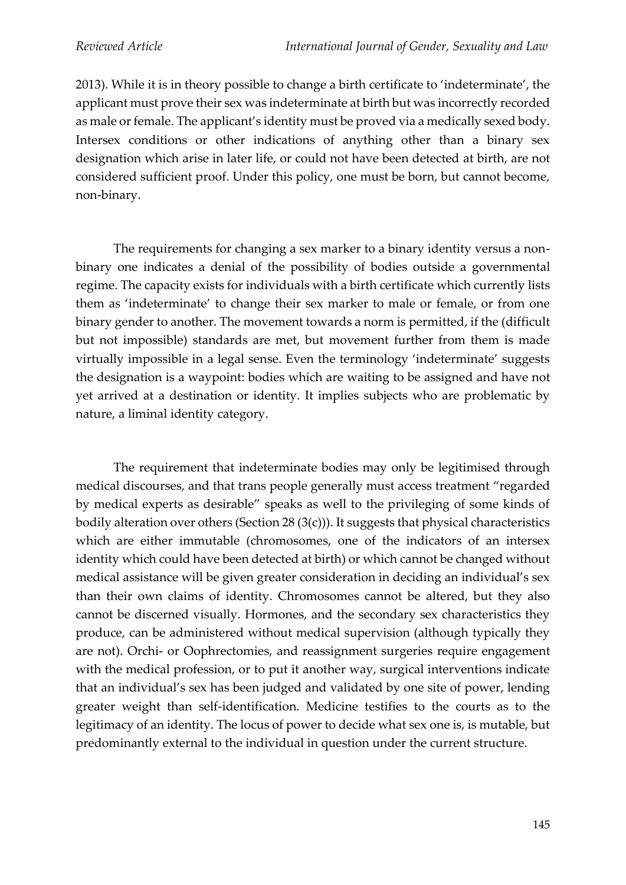2013). While it is in theory possible to change a birth certificate to 'indeterminate', the applicant must prove their sex was indeterminate at birth but was incorrectly recorded as male or female. The applicant's identity must be proved via a medically sexed body. Intersex conditions or other indications of anything other than a binary sex designation which arise in later life, or could not have been detected at birth, are not considered sufficient proof. Under this policy, one must be born, but cannot become, non-binary.

The requirements for changing a sex marker to a binary identity versus a nonbinary one indicates a denial of the possibility of bodies outside a governmental regime. The capacity exists for individuals with a birth certificate which currently lists them as 'indeterminate' to change their sex marker to male or female, or from one binary gender to another. The movement towards a norm is permitted, if the (difficult but not impossible) standards are met, but movement further from them is made virtually impossible in a legal sense. Even the terminology 'indeterminate' suggests the designation is a waypoint: bodies which are waiting to be assigned and have not yet arrived at a destination or identity. It implies subjects who are problematic by nature, a liminal identity category.

The requirement that indeterminate bodies may only be legitimised through medical discourses, and that trans people generally must access treatment "regarded by medical experts as desirable" speaks as well to the privileging of some kinds of bodily alteration over others (Section 28  $(3(c))$ ). It suggests that physical characteristics which are either immutable (chromosomes, one of the indicators of an intersex identity which could have been detected at birth) or which cannot be changed without medical assistance will be given greater consideration in deciding an individual's sex than their own claims of identity. Chromosomes cannot be altered, but they also cannot be discerned visually. Hormones, and the secondary sex characteristics they produce, can be administered without medical supervision (although typically they are not). Orchi- or Oophrectomies, and reassignment surgeries require engagement with the medical profession, or to put it another way, surgical interventions indicate that an individual's sex has been judged and validated by one site of power, lending greater weight than self-identification. Medicine testifies to the courts as to the legitimacy of an identity. The locus of power to decide what sex one is, is mutable, but predominantly external to the individual in question under the current structure.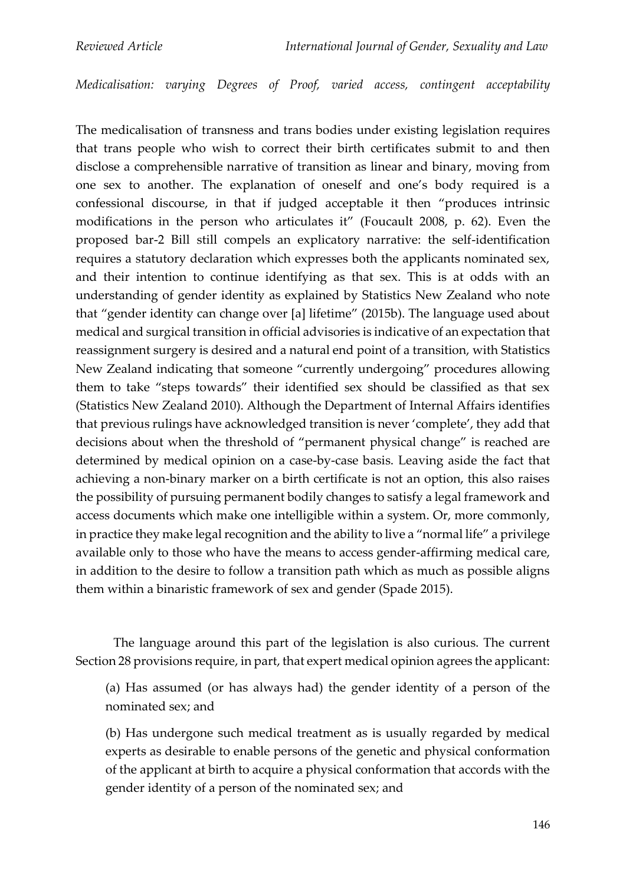*Medicalisation: varying Degrees of Proof, varied access, contingent acceptability*

The medicalisation of transness and trans bodies under existing legislation requires that trans people who wish to correct their birth certificates submit to and then disclose a comprehensible narrative of transition as linear and binary, moving from one sex to another. The explanation of oneself and one's body required is a confessional discourse, in that if judged acceptable it then "produces intrinsic modifications in the person who articulates it" (Foucault 2008, p. 62). Even the proposed bar-2 Bill still compels an explicatory narrative: the self-identification requires a statutory declaration which expresses both the applicants nominated sex, and their intention to continue identifying as that sex. This is at odds with an understanding of gender identity as explained by Statistics New Zealand who note that "gender identity can change over [a] lifetime" (2015b). The language used about medical and surgical transition in official advisories is indicative of an expectation that reassignment surgery is desired and a natural end point of a transition, with Statistics New Zealand indicating that someone "currently undergoing" procedures allowing them to take "steps towards" their identified sex should be classified as that sex (Statistics New Zealand 2010). Although the Department of Internal Affairs identifies that previous rulings have acknowledged transition is never 'complete', they add that decisions about when the threshold of "permanent physical change" is reached are determined by medical opinion on a case-by-case basis. Leaving aside the fact that achieving a non-binary marker on a birth certificate is not an option, this also raises the possibility of pursuing permanent bodily changes to satisfy a legal framework and access documents which make one intelligible within a system. Or, more commonly, in practice they make legal recognition and the ability to live a "normal life" a privilege available only to those who have the means to access gender-affirming medical care, in addition to the desire to follow a transition path which as much as possible aligns them within a binaristic framework of sex and gender (Spade 2015).

The language around this part of the legislation is also curious. The current Section 28 provisions require, in part, that expert medical opinion agrees the applicant:

(a) Has assumed (or has always had) the gender identity of a person of the nominated sex; and

(b) Has undergone such medical treatment as is usually regarded by medical experts as desirable to enable persons of the genetic and physical conformation of the applicant at birth to acquire a physical conformation that accords with the gender identity of a person of the nominated sex; and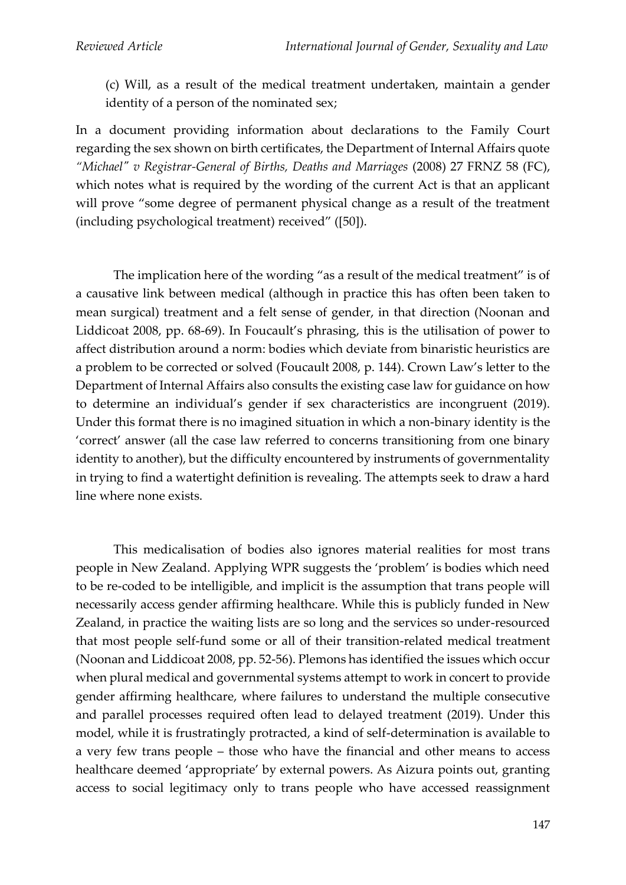(c) Will, as a result of the medical treatment undertaken, maintain a gender identity of a person of the nominated sex;

In a document providing information about declarations to the Family Court regarding the sex shown on birth certificates, the Department of Internal Affairs quote *"Michael" v Registrar-General of Births, Deaths and Marriages* (2008) 27 FRNZ 58 (FC), which notes what is required by the wording of the current Act is that an applicant will prove "some degree of permanent physical change as a result of the treatment (including psychological treatment) received" ([50]).

The implication here of the wording "as a result of the medical treatment" is of a causative link between medical (although in practice this has often been taken to mean surgical) treatment and a felt sense of gender, in that direction (Noonan and Liddicoat 2008, pp. 68-69). In Foucault's phrasing, this is the utilisation of power to affect distribution around a norm: bodies which deviate from binaristic heuristics are a problem to be corrected or solved (Foucault 2008, p. 144). Crown Law's letter to the Department of Internal Affairs also consults the existing case law for guidance on how to determine an individual's gender if sex characteristics are incongruent (2019). Under this format there is no imagined situation in which a non-binary identity is the 'correct' answer (all the case law referred to concerns transitioning from one binary identity to another), but the difficulty encountered by instruments of governmentality in trying to find a watertight definition is revealing. The attempts seek to draw a hard line where none exists.

This medicalisation of bodies also ignores material realities for most trans people in New Zealand. Applying WPR suggests the 'problem' is bodies which need to be re-coded to be intelligible, and implicit is the assumption that trans people will necessarily access gender affirming healthcare. While this is publicly funded in New Zealand, in practice the waiting lists are so long and the services so under-resourced that most people self-fund some or all of their transition-related medical treatment (Noonan and Liddicoat 2008, pp. 52-56). Plemons has identified the issues which occur when plural medical and governmental systems attempt to work in concert to provide gender affirming healthcare, where failures to understand the multiple consecutive and parallel processes required often lead to delayed treatment (2019). Under this model, while it is frustratingly protracted, a kind of self-determination is available to a very few trans people – those who have the financial and other means to access healthcare deemed 'appropriate' by external powers. As Aizura points out, granting access to social legitimacy only to trans people who have accessed reassignment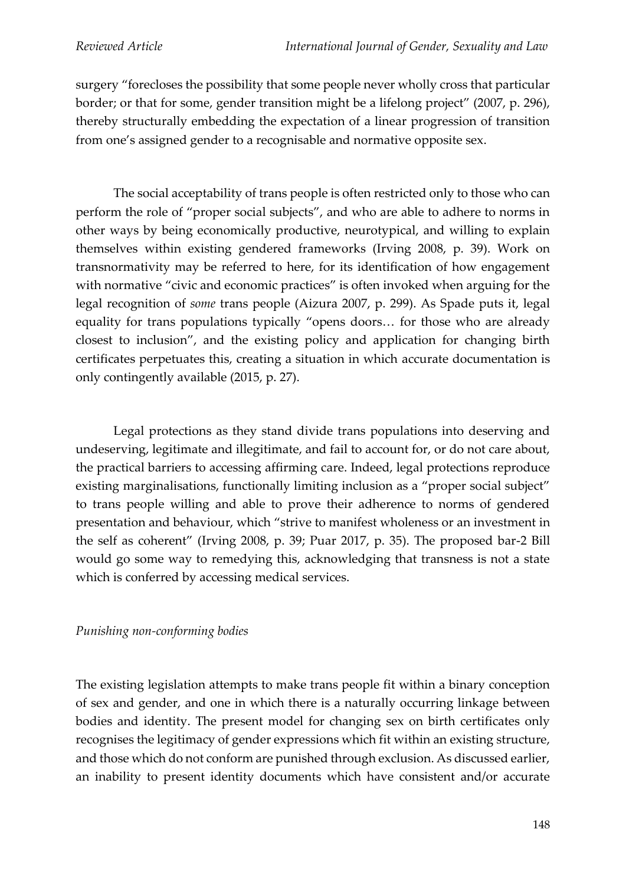surgery "forecloses the possibility that some people never wholly cross that particular border; or that for some, gender transition might be a lifelong project" (2007, p. 296), thereby structurally embedding the expectation of a linear progression of transition from one's assigned gender to a recognisable and normative opposite sex.

The social acceptability of trans people is often restricted only to those who can perform the role of "proper social subjects", and who are able to adhere to norms in other ways by being economically productive, neurotypical, and willing to explain themselves within existing gendered frameworks (Irving 2008, p. 39). Work on transnormativity may be referred to here, for its identification of how engagement with normative "civic and economic practices" is often invoked when arguing for the legal recognition of *some* trans people (Aizura 2007, p. 299). As Spade puts it, legal equality for trans populations typically "opens doors… for those who are already closest to inclusion", and the existing policy and application for changing birth certificates perpetuates this, creating a situation in which accurate documentation is only contingently available (2015, p. 27).

Legal protections as they stand divide trans populations into deserving and undeserving, legitimate and illegitimate, and fail to account for, or do not care about, the practical barriers to accessing affirming care. Indeed, legal protections reproduce existing marginalisations, functionally limiting inclusion as a "proper social subject" to trans people willing and able to prove their adherence to norms of gendered presentation and behaviour, which "strive to manifest wholeness or an investment in the self as coherent" (Irving 2008, p. 39; Puar 2017, p. 35). The proposed bar-2 Bill would go some way to remedying this, acknowledging that transness is not a state which is conferred by accessing medical services.

### *Punishing non-conforming bodies*

The existing legislation attempts to make trans people fit within a binary conception of sex and gender, and one in which there is a naturally occurring linkage between bodies and identity. The present model for changing sex on birth certificates only recognises the legitimacy of gender expressions which fit within an existing structure, and those which do not conform are punished through exclusion. As discussed earlier, an inability to present identity documents which have consistent and/or accurate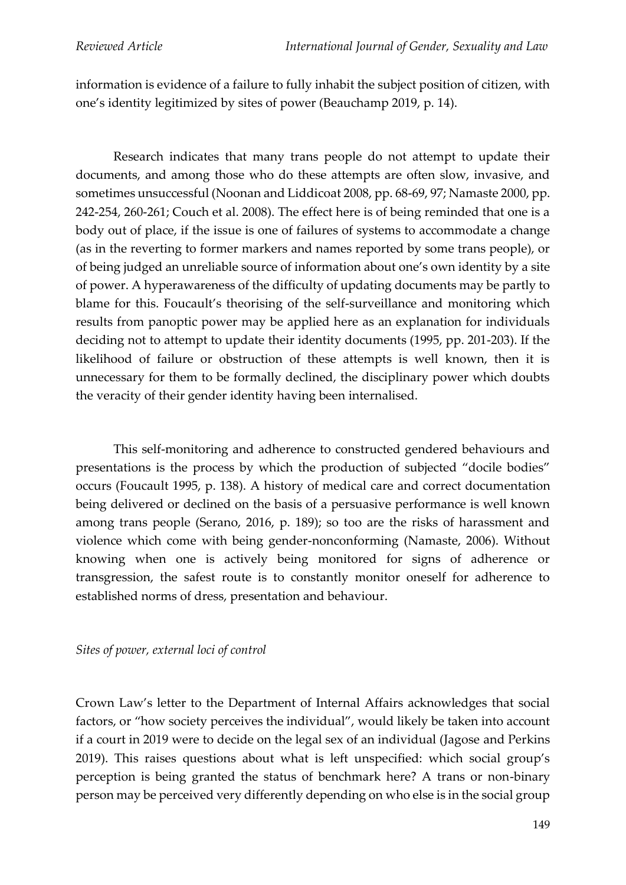information is evidence of a failure to fully inhabit the subject position of citizen, with one's identity legitimized by sites of power (Beauchamp 2019, p. 14).

Research indicates that many trans people do not attempt to update their documents, and among those who do these attempts are often slow, invasive, and sometimes unsuccessful (Noonan and Liddicoat 2008, pp. 68-69, 97; Namaste 2000, pp. 242-254, 260-261; Couch et al. 2008). The effect here is of being reminded that one is a body out of place, if the issue is one of failures of systems to accommodate a change (as in the reverting to former markers and names reported by some trans people), or of being judged an unreliable source of information about one's own identity by a site of power. A hyperawareness of the difficulty of updating documents may be partly to blame for this. Foucault's theorising of the self-surveillance and monitoring which results from panoptic power may be applied here as an explanation for individuals deciding not to attempt to update their identity documents (1995, pp. 201-203). If the likelihood of failure or obstruction of these attempts is well known, then it is unnecessary for them to be formally declined, the disciplinary power which doubts the veracity of their gender identity having been internalised.

This self-monitoring and adherence to constructed gendered behaviours and presentations is the process by which the production of subjected "docile bodies" occurs (Foucault 1995, p. 138). A history of medical care and correct documentation being delivered or declined on the basis of a persuasive performance is well known among trans people (Serano, 2016, p. 189); so too are the risks of harassment and violence which come with being gender-nonconforming (Namaste, 2006). Without knowing when one is actively being monitored for signs of adherence or transgression, the safest route is to constantly monitor oneself for adherence to established norms of dress, presentation and behaviour.

### *Sites of power, external loci of control*

Crown Law's letter to the Department of Internal Affairs acknowledges that social factors, or "how society perceives the individual", would likely be taken into account if a court in 2019 were to decide on the legal sex of an individual (Jagose and Perkins 2019). This raises questions about what is left unspecified: which social group's perception is being granted the status of benchmark here? A trans or non-binary person may be perceived very differently depending on who else is in the social group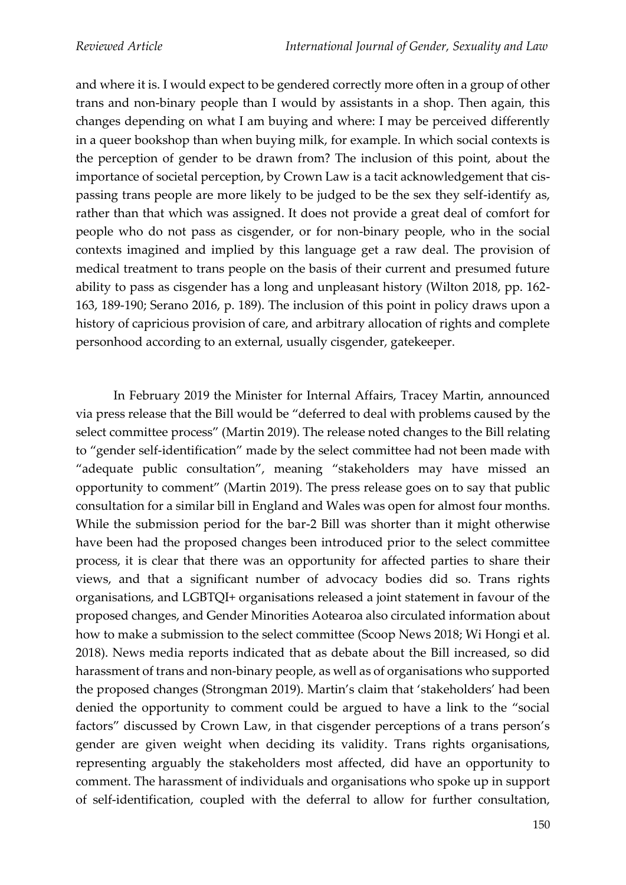and where it is. I would expect to be gendered correctly more often in a group of other trans and non-binary people than I would by assistants in a shop. Then again, this changes depending on what I am buying and where: I may be perceived differently in a queer bookshop than when buying milk, for example. In which social contexts is the perception of gender to be drawn from? The inclusion of this point, about the importance of societal perception, by Crown Law is a tacit acknowledgement that cispassing trans people are more likely to be judged to be the sex they self-identify as, rather than that which was assigned. It does not provide a great deal of comfort for people who do not pass as cisgender, or for non-binary people, who in the social contexts imagined and implied by this language get a raw deal. The provision of medical treatment to trans people on the basis of their current and presumed future ability to pass as cisgender has a long and unpleasant history (Wilton 2018, pp. 162- 163, 189-190; Serano 2016, p. 189). The inclusion of this point in policy draws upon a history of capricious provision of care, and arbitrary allocation of rights and complete personhood according to an external, usually cisgender, gatekeeper.

In February 2019 the Minister for Internal Affairs, Tracey Martin, announced via press release that the Bill would be "deferred to deal with problems caused by the select committee process" (Martin 2019). The release noted changes to the Bill relating to "gender self-identification" made by the select committee had not been made with "adequate public consultation", meaning "stakeholders may have missed an opportunity to comment" (Martin 2019). The press release goes on to say that public consultation for a similar bill in England and Wales was open for almost four months. While the submission period for the bar-2 Bill was shorter than it might otherwise have been had the proposed changes been introduced prior to the select committee process, it is clear that there was an opportunity for affected parties to share their views, and that a significant number of advocacy bodies did so. Trans rights organisations, and LGBTQI+ organisations released a joint statement in favour of the proposed changes, and Gender Minorities Aotearoa also circulated information about how to make a submission to the select committee (Scoop News 2018; Wi Hongi et al. 2018). News media reports indicated that as debate about the Bill increased, so did harassment of trans and non-binary people, as well as of organisations who supported the proposed changes (Strongman 2019). Martin's claim that 'stakeholders' had been denied the opportunity to comment could be argued to have a link to the "social factors" discussed by Crown Law, in that cisgender perceptions of a trans person's gender are given weight when deciding its validity. Trans rights organisations, representing arguably the stakeholders most affected, did have an opportunity to comment. The harassment of individuals and organisations who spoke up in support of self-identification, coupled with the deferral to allow for further consultation,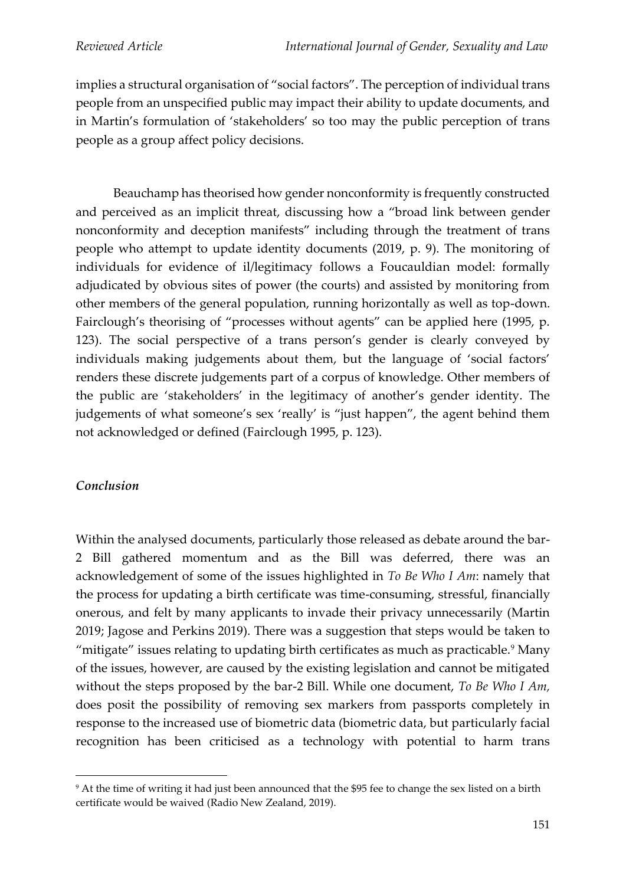implies a structural organisation of "social factors". The perception of individual trans people from an unspecified public may impact their ability to update documents, and in Martin's formulation of 'stakeholders' so too may the public perception of trans people as a group affect policy decisions.

Beauchamp has theorised how gender nonconformity is frequently constructed and perceived as an implicit threat, discussing how a "broad link between gender nonconformity and deception manifests" including through the treatment of trans people who attempt to update identity documents (2019, p. 9). The monitoring of individuals for evidence of il/legitimacy follows a Foucauldian model: formally adjudicated by obvious sites of power (the courts) and assisted by monitoring from other members of the general population, running horizontally as well as top-down. Fairclough's theorising of "processes without agents" can be applied here (1995, p. 123). The social perspective of a trans person's gender is clearly conveyed by individuals making judgements about them, but the language of 'social factors' renders these discrete judgements part of a corpus of knowledge. Other members of the public are 'stakeholders' in the legitimacy of another's gender identity. The judgements of what someone's sex 'really' is "just happen", the agent behind them not acknowledged or defined (Fairclough 1995, p. 123).

### *Conclusion*

Within the analysed documents, particularly those released as debate around the bar-2 Bill gathered momentum and as the Bill was deferred, there was an acknowledgement of some of the issues highlighted in *To Be Who I Am*: namely that the process for updating a birth certificate was time-consuming, stressful, financially onerous, and felt by many applicants to invade their privacy unnecessarily (Martin 2019; Jagose and Perkins 2019). There was a suggestion that steps would be taken to "mitigate" issues relating to updating birth certificates as much as practicable.<sup>9</sup> Many of the issues, however, are caused by the existing legislation and cannot be mitigated without the steps proposed by the bar-2 Bill. While one document, *To Be Who I Am,* does posit the possibility of removing sex markers from passports completely in response to the increased use of biometric data (biometric data, but particularly facial recognition has been criticised as a technology with potential to harm trans

<sup>&</sup>lt;sup>9</sup> At the time of writing it had just been announced that the \$95 fee to change the sex listed on a birth certificate would be waived (Radio New Zealand, 2019).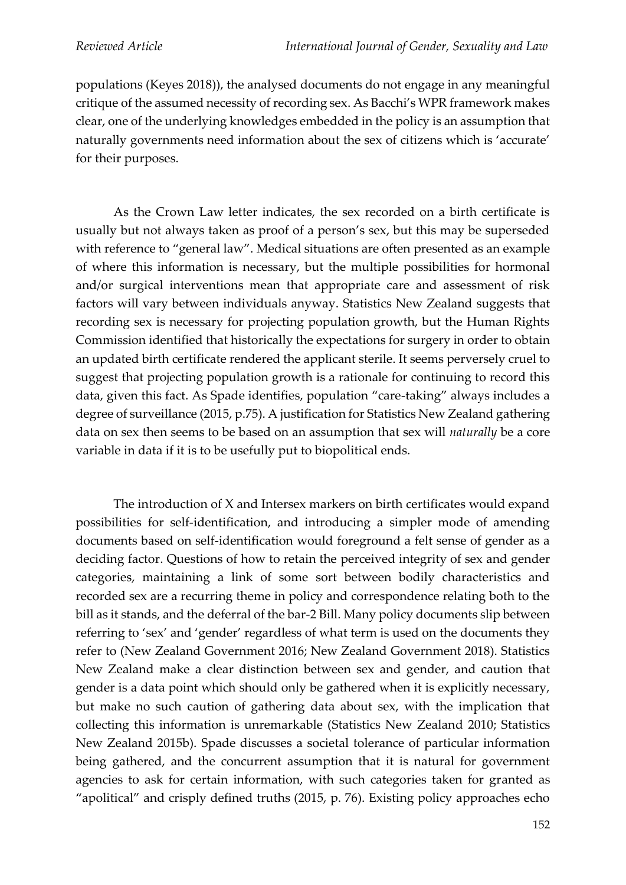populations (Keyes 2018)), the analysed documents do not engage in any meaningful critique of the assumed necessity of recording sex. As Bacchi's WPR framework makes clear, one of the underlying knowledges embedded in the policy is an assumption that naturally governments need information about the sex of citizens which is 'accurate' for their purposes.

As the Crown Law letter indicates, the sex recorded on a birth certificate is usually but not always taken as proof of a person's sex, but this may be superseded with reference to "general law". Medical situations are often presented as an example of where this information is necessary, but the multiple possibilities for hormonal and/or surgical interventions mean that appropriate care and assessment of risk factors will vary between individuals anyway. Statistics New Zealand suggests that recording sex is necessary for projecting population growth, but the Human Rights Commission identified that historically the expectations for surgery in order to obtain an updated birth certificate rendered the applicant sterile. It seems perversely cruel to suggest that projecting population growth is a rationale for continuing to record this data, given this fact. As Spade identifies, population "care-taking" always includes a degree of surveillance (2015, p.75). A justification for Statistics New Zealand gathering data on sex then seems to be based on an assumption that sex will *naturally* be a core variable in data if it is to be usefully put to biopolitical ends.

The introduction of X and Intersex markers on birth certificates would expand possibilities for self-identification, and introducing a simpler mode of amending documents based on self-identification would foreground a felt sense of gender as a deciding factor. Questions of how to retain the perceived integrity of sex and gender categories, maintaining a link of some sort between bodily characteristics and recorded sex are a recurring theme in policy and correspondence relating both to the bill as it stands, and the deferral of the bar-2 Bill. Many policy documents slip between referring to 'sex' and 'gender' regardless of what term is used on the documents they refer to (New Zealand Government 2016; New Zealand Government 2018). Statistics New Zealand make a clear distinction between sex and gender, and caution that gender is a data point which should only be gathered when it is explicitly necessary, but make no such caution of gathering data about sex, with the implication that collecting this information is unremarkable (Statistics New Zealand 2010; Statistics New Zealand 2015b). Spade discusses a societal tolerance of particular information being gathered, and the concurrent assumption that it is natural for government agencies to ask for certain information, with such categories taken for granted as "apolitical" and crisply defined truths (2015, p. 76). Existing policy approaches echo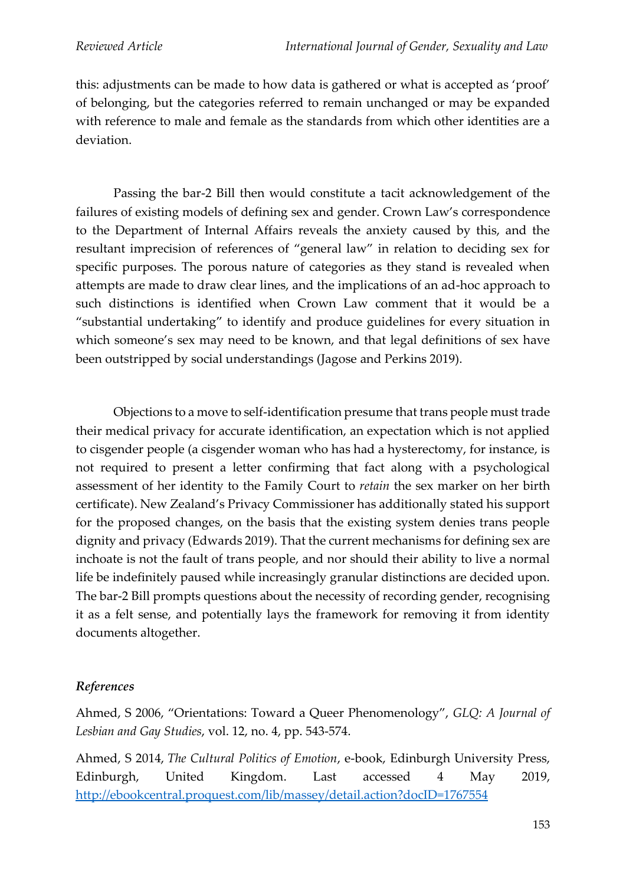this: adjustments can be made to how data is gathered or what is accepted as 'proof' of belonging, but the categories referred to remain unchanged or may be expanded with reference to male and female as the standards from which other identities are a deviation.

Passing the bar-2 Bill then would constitute a tacit acknowledgement of the failures of existing models of defining sex and gender. Crown Law's correspondence to the Department of Internal Affairs reveals the anxiety caused by this, and the resultant imprecision of references of "general law" in relation to deciding sex for specific purposes. The porous nature of categories as they stand is revealed when attempts are made to draw clear lines, and the implications of an ad-hoc approach to such distinctions is identified when Crown Law comment that it would be a "substantial undertaking" to identify and produce guidelines for every situation in which someone's sex may need to be known, and that legal definitions of sex have been outstripped by social understandings (Jagose and Perkins 2019).

Objections to a move to self-identification presume that trans people must trade their medical privacy for accurate identification, an expectation which is not applied to cisgender people (a cisgender woman who has had a hysterectomy, for instance, is not required to present a letter confirming that fact along with a psychological assessment of her identity to the Family Court to *retain* the sex marker on her birth certificate). New Zealand's Privacy Commissioner has additionally stated his support for the proposed changes, on the basis that the existing system denies trans people dignity and privacy (Edwards 2019). That the current mechanisms for defining sex are inchoate is not the fault of trans people, and nor should their ability to live a normal life be indefinitely paused while increasingly granular distinctions are decided upon. The bar-2 Bill prompts questions about the necessity of recording gender, recognising it as a felt sense, and potentially lays the framework for removing it from identity documents altogether.

### *References*

Ahmed, S 2006, "Orientations: Toward a Queer Phenomenology", *GLQ: A Journal of Lesbian and Gay Studies*, vol. 12, no. 4, pp. 543-574.

Ahmed, S 2014, *The Cultural Politics of Emotion*, e-book, Edinburgh University Press, Edinburgh, United Kingdom. Last accessed 4 May 2019, <http://ebookcentral.proquest.com/lib/massey/detail.action?docID=1767554>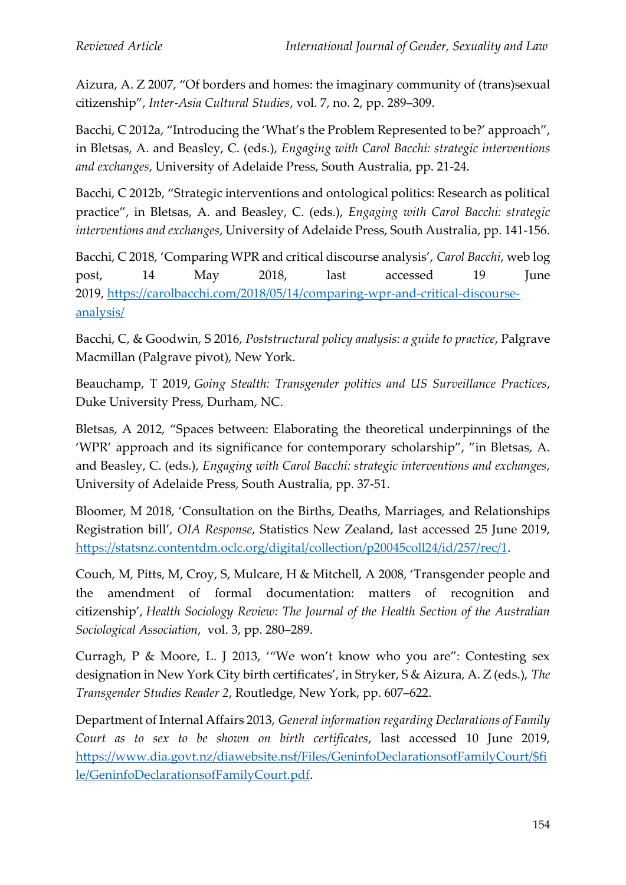Aizura, A. Z 2007, "Of borders and homes: the imaginary community of (trans)sexual citizenship", *Inter-Asia Cultural Studies*, vol. 7, no. 2, pp. 289–309.

Bacchi, C 2012a, "Introducing the 'What's the Problem Represented to be?' approach", in Bletsas, A. and Beasley, C. (eds.), *Engaging with Carol Bacchi: strategic interventions and exchanges*, University of Adelaide Press, South Australia, pp. 21-24.

Bacchi, C 2012b, "Strategic interventions and ontological politics: Research as political practice", in Bletsas, A. and Beasley, C. (eds.), *Engaging with Carol Bacchi: strategic interventions and exchanges*, University of Adelaide Press, South Australia, pp. 141-156.

Bacchi, C 2018, 'Comparing WPR and critical discourse analysis', *Carol Bacchi*, web log post, 14 May 2018, last accessed 19 June 2019, [https://carolbacchi.com/2018/05/14/comparing-wpr-and-critical-discourse](https://carolbacchi.com/2018/05/14/comparing-wpr-and-critical-discourse-analysis/)[analysis/](https://carolbacchi.com/2018/05/14/comparing-wpr-and-critical-discourse-analysis/)

Bacchi, C, & Goodwin, S 2016, *Poststructural policy analysis: a guide to practice*, Palgrave Macmillan (Palgrave pivot), New York.

Beauchamp, T 2019, *Going Stealth: Transgender politics and US Surveillance Practices*, Duke University Press, Durham, NC.

Bletsas, A 2012, "Spaces between: Elaborating the theoretical underpinnings of the 'WPR' approach and its significance for contemporary scholarship", "in Bletsas, A. and Beasley, C. (eds.), *Engaging with Carol Bacchi: strategic interventions and exchanges*, University of Adelaide Press, South Australia, pp. 37-51.

Bloomer, M 2018, 'Consultation on the Births, Deaths, Marriages, and Relationships Registration bill', *OIA Response*, Statistics New Zealand, last accessed 25 June 2019, [https://statsnz.contentdm.oclc.org/digital/collection/p20045coll24/id/257/rec/1.](https://statsnz.contentdm.oclc.org/digital/collection/p20045coll24/id/257/rec/1)

Couch, M*,* Pitts, M, Croy, S, Mulcare, H & Mitchell, A 2008, 'Transgender people and the amendment of formal documentation: matters of recognition and citizenship', *Health Sociology Review: The Journal of the Health Section of the Australian Sociological Association*, vol. 3, pp. 280–289.

Curragh, P & Moore, L. J 2013, '"We won't know who you are": Contesting sex designation in New York City birth certificates', in Stryker, S & Aizura, A. Z (eds.), *The Transgender Studies Reader 2*, Routledge, New York, pp. 607–622.

Department of Internal Affairs 2013, *General information regarding Declarations of Family Court as to sex to be shown on birth certificates*, last accessed 10 June 2019, [https://www.dia.govt.nz/diawebsite.nsf/Files/GeninfoDeclarationsofFamilyCourt/\\$fi](https://www.dia.govt.nz/diawebsite.nsf/Files/GeninfoDeclarationsofFamilyCourt/$file/GeninfoDeclarationsofFamilyCourt.pdf) [le/GeninfoDeclarationsofFamilyCourt.pdf.](https://www.dia.govt.nz/diawebsite.nsf/Files/GeninfoDeclarationsofFamilyCourt/$file/GeninfoDeclarationsofFamilyCourt.pdf)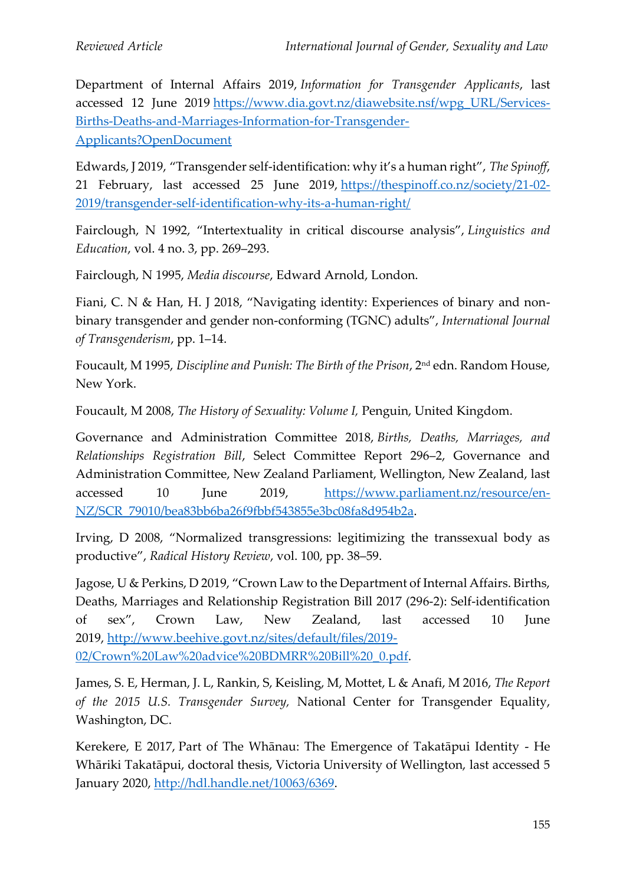Department of Internal Affairs 2019, *Information for Transgender Applicants*, last accessed 12 June 2019 [https://www.dia.govt.nz/diawebsite.nsf/wpg\\_URL/Services-](https://www.dia.govt.nz/diawebsite.nsf/wpg_URL/Services-Births-Deaths-and-Marriages-Information-for-Transgender-Applicants?OpenDocument)[Births-Deaths-and-Marriages-Information-for-Transgender-](https://www.dia.govt.nz/diawebsite.nsf/wpg_URL/Services-Births-Deaths-and-Marriages-Information-for-Transgender-Applicants?OpenDocument)[Applicants?OpenDocument](https://www.dia.govt.nz/diawebsite.nsf/wpg_URL/Services-Births-Deaths-and-Marriages-Information-for-Transgender-Applicants?OpenDocument)

Edwards, J 2019, "Transgender self-identification: why it's a human right", *The Spinoff*, 21 February, last accessed 25 June 2019, [https://thespinoff.co.nz/society/21-02-](https://thespinoff.co.nz/society/21-02-2019/transgender-self-identification-why-its-a-human-right/) [2019/transgender-self-identification-why-its-a-human-right/](https://thespinoff.co.nz/society/21-02-2019/transgender-self-identification-why-its-a-human-right/)

Fairclough, N 1992, "Intertextuality in critical discourse analysis", *Linguistics and Education*, vol. 4 no. 3, pp. 269–293.

Fairclough, N 1995, *Media discourse*, Edward Arnold, London.

Fiani, C. N & Han, H. J 2018, "Navigating identity: Experiences of binary and nonbinary transgender and gender non-conforming (TGNC) adults", *International Journal of Transgenderism*, pp. 1–14.

Foucault, M 1995, *Discipline and Punish: The Birth of the Prison*, 2nd edn. Random House, New York.

Foucault, M 2008, *The History of Sexuality: Volume I,* Penguin, United Kingdom.

Governance and Administration Committee 2018, *Births, Deaths, Marriages, and Relationships Registration Bill*, Select Committee Report 296–2, Governance and Administration Committee, New Zealand Parliament, Wellington, New Zealand, last accessed 10 June 2019, [https://www.parliament.nz/resource/en-](https://www.parliament.nz/resource/en-NZ/SCR_79010/bea83bb6ba26f9fbbf543855e3bc08fa8d954b2a)[NZ/SCR\\_79010/bea83bb6ba26f9fbbf543855e3bc08fa8d954b2a.](https://www.parliament.nz/resource/en-NZ/SCR_79010/bea83bb6ba26f9fbbf543855e3bc08fa8d954b2a)

Irving, D 2008, "Normalized transgressions: legitimizing the transsexual body as productive", *Radical History Review*, vol. 100, pp. 38–59.

Jagose, U & Perkins, D 2019, "Crown Law to the Department of Internal Affairs. Births, Deaths, Marriages and Relationship Registration Bill 2017 (296-2): Self-identification of sex", Crown Law, New Zealand, last accessed 10 June 2019, [http://www.beehive.govt.nz/sites/default/files/2019-](http://www.beehive.govt.nz/sites/default/files/2019-02/Crown%20Law%20advice%20BDMRR%20Bill%20_0.pdf) [02/Crown%20Law%20advice%20BDMRR%20Bill%20\\_0.pdf.](http://www.beehive.govt.nz/sites/default/files/2019-02/Crown%20Law%20advice%20BDMRR%20Bill%20_0.pdf)

James, S. E, Herman, J. L, Rankin, S, Keisling, M, Mottet, L & Anafi, M 2016, *The Report of the 2015 U.S. Transgender Survey,* National Center for Transgender Equality, Washington, DC.

Kerekere, E 2017, Part of The Whānau: The Emergence of Takatāpui Identity - He Whāriki Takatāpui, doctoral thesis, Victoria University of Wellington, last accessed 5 January 2020, [http://hdl.handle.net/10063/6369.](http://hdl.handle.net/10063/6369)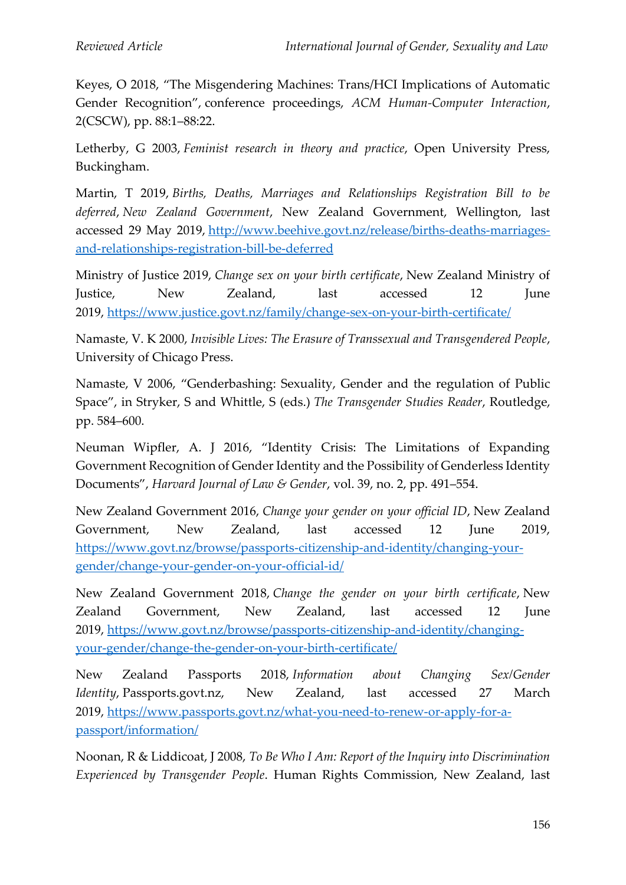Keyes, O 2018, "The Misgendering Machines: Trans/HCI Implications of Automatic Gender Recognition", conference proceedings, *ACM Human-Computer Interaction*, 2(CSCW), pp. 88:1–88:22.

Letherby, G 2003, *Feminist research in theory and practice*, Open University Press, Buckingham.

Martin, T 2019, *Births, Deaths, Marriages and Relationships Registration Bill to be deferred*, *New Zealand Government*, New Zealand Government, Wellington, last accessed 29 May 2019, [http://www.beehive.govt.nz/release/births-deaths-marriages](http://www.beehive.govt.nz/release/births-deaths-marriages-and-relationships-registration-bill-be-deferred)[and-relationships-registration-bill-be-deferred](http://www.beehive.govt.nz/release/births-deaths-marriages-and-relationships-registration-bill-be-deferred)

Ministry of Justice 2019, *Change sex on your birth certificate*, New Zealand Ministry of Justice, New Zealand, last accessed 12 June 2019, <https://www.justice.govt.nz/family/change-sex-on-your-birth-certificate/>

Namaste, V. K 2000, *Invisible Lives: The Erasure of Transsexual and Transgendered People*, University of Chicago Press.

Namaste, V 2006, "Genderbashing: Sexuality, Gender and the regulation of Public Space", in Stryker, S and Whittle, S (eds.) *The Transgender Studies Reader*, Routledge, pp. 584–600.

Neuman Wipfler, A. J 2016, "Identity Crisis: The Limitations of Expanding Government Recognition of Gender Identity and the Possibility of Genderless Identity Documents", *Harvard Journal of Law & Gender*, vol. 39, no. 2, pp. 491–554.

New Zealand Government 2016, *Change your gender on your official ID*, New Zealand Government, New Zealand, last accessed 12 June 2019, [https://www.govt.nz/browse/passports-citizenship-and-identity/changing-your](https://www.govt.nz/browse/passports-citizenship-and-identity/changing-your-gender/change-your-gender-on-your-official-id/)[gender/change-your-gender-on-your-official-id/](https://www.govt.nz/browse/passports-citizenship-and-identity/changing-your-gender/change-your-gender-on-your-official-id/)

New Zealand Government 2018, *Change the gender on your birth certificate*, New Zealand Government, New Zealand, last accessed 12 June 2019, [https://www.govt.nz/browse/passports-citizenship-and-identity/changing](https://www.govt.nz/browse/passports-citizenship-and-identity/changing-your-gender/change-the-gender-on-your-birth-certificate/)[your-gender/change-the-gender-on-your-birth-certificate/](https://www.govt.nz/browse/passports-citizenship-and-identity/changing-your-gender/change-the-gender-on-your-birth-certificate/)

New Zealand Passports 2018, *Information about Changing Sex/Gender Identity*, Passports.govt.nz, New Zealand, last accessed 27 March 2019, [https://www.passports.govt.nz/what-you-need-to-renew-or-apply-for-a](https://www.passports.govt.nz/what-you-need-to-renew-or-apply-for-a-passport/information/)[passport/information/](https://www.passports.govt.nz/what-you-need-to-renew-or-apply-for-a-passport/information/)

Noonan, R & Liddicoat, J 2008, *To Be Who I Am: Report of the Inquiry into Discrimination Experienced by Transgender People*. Human Rights Commission, New Zealand, last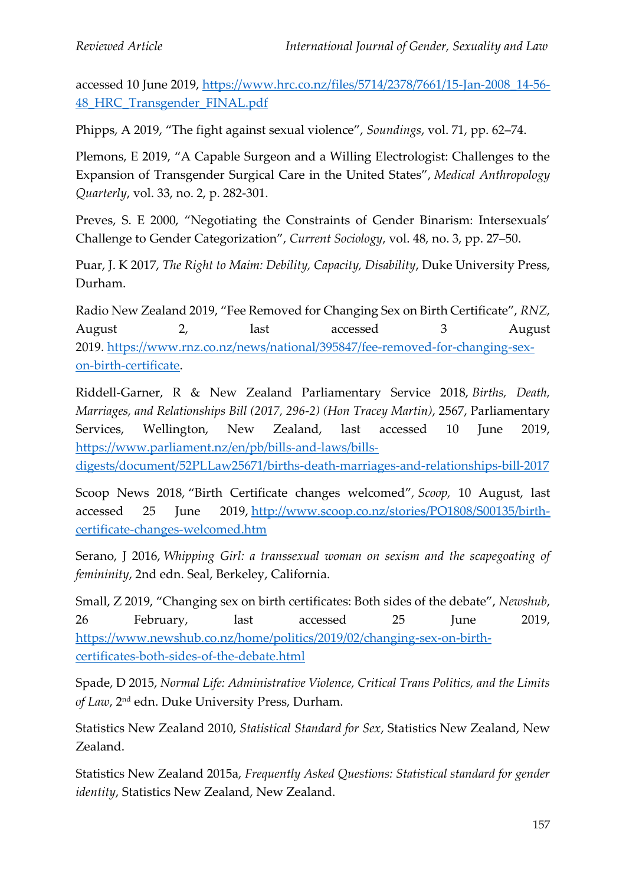accessed 10 June 2019, [https://www.hrc.co.nz/files/5714/2378/7661/15-Jan-2008\\_14-56-](https://www.hrc.co.nz/files/5714/2378/7661/15-Jan-2008_14-56-48_HRC_Transgender_FINAL.pdf) [48\\_HRC\\_Transgender\\_FINAL.pdf](https://www.hrc.co.nz/files/5714/2378/7661/15-Jan-2008_14-56-48_HRC_Transgender_FINAL.pdf)

Phipps, A 2019, "The fight against sexual violence", *Soundings*, vol. 71, pp. 62–74.

Plemons, E 2019, "A Capable Surgeon and a Willing Electrologist: Challenges to the Expansion of Transgender Surgical Care in the United States", *Medical Anthropology Quarterly*, vol. 33, no. 2, p. 282-301.

Preves, S. E 2000, "Negotiating the Constraints of Gender Binarism: Intersexuals' Challenge to Gender Categorization", *Current Sociology*, vol. 48, no. 3, pp. 27–50.

Puar, J. K 2017, *The Right to Maim: Debility, Capacity, Disability*, Duke University Press, Durham.

Radio New Zealand 2019, "Fee Removed for Changing Sex on Birth Certificate", *RNZ,* August 2, last accessed 3 August 2019. [https://www.rnz.co.nz/news/national/395847/fee-removed-for-changing-sex](https://www.rnz.co.nz/news/national/395847/fee-removed-for-changing-sex-on-birth-certificate)[on-birth-certificate.](https://www.rnz.co.nz/news/national/395847/fee-removed-for-changing-sex-on-birth-certificate)

Riddell-Garner, R & New Zealand Parliamentary Service 2018, *Births, Death, Marriages, and Relationships Bill (2017, 296-2) (Hon Tracey Martin)*, 2567, Parliamentary Services, Wellington, New Zealand, last accessed 10 June 2019, [https://www.parliament.nz/en/pb/bills-and-laws/bills-](https://www.parliament.nz/en/pb/bills-and-laws/bills-digests/document/52PLLaw25671/births-death-marriages-and-relationships-bill-2017)

[digests/document/52PLLaw25671/births-death-marriages-and-relationships-bill-2017](https://www.parliament.nz/en/pb/bills-and-laws/bills-digests/document/52PLLaw25671/births-death-marriages-and-relationships-bill-2017)

Scoop News 2018, "Birth Certificate changes welcomed"*, Scoop,* 10 August, last accessed 25 June 2019, [http://www.scoop.co.nz/stories/PO1808/S00135/birth](http://www.scoop.co.nz/stories/PO1808/S00135/birth-certificate-changes-welcomed.htm)[certificate-changes-welcomed.htm](http://www.scoop.co.nz/stories/PO1808/S00135/birth-certificate-changes-welcomed.htm)

Serano, J 2016, *Whipping Girl: a transsexual woman on sexism and the scapegoating of femininity*, 2nd edn. Seal, Berkeley, California.

Small, Z 2019, "Changing sex on birth certificates: Both sides of the debate", *Newshub*, 26 February, last accessed 25 June 2019, [https://www.newshub.co.nz/home/politics/2019/02/changing-sex-on-birth](https://www.newshub.co.nz/home/politics/2019/02/changing-sex-on-birth-certificates-both-sides-of-the-debate.html)[certificates-both-sides-of-the-debate.html](https://www.newshub.co.nz/home/politics/2019/02/changing-sex-on-birth-certificates-both-sides-of-the-debate.html)

Spade, D 2015, *Normal Life: Administrative Violence, Critical Trans Politics, and the Limits of Law*, 2nd edn. Duke University Press, Durham.

Statistics New Zealand 2010, *Statistical Standard for Sex*, Statistics New Zealand, New Zealand.

Statistics New Zealand 2015a, *Frequently Asked Questions: Statistical standard for gender identity*, Statistics New Zealand, New Zealand.